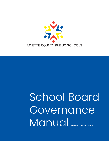

## School Board **Governance** Manual Revised December 2021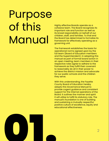## Purpose of this Manual

Highly effective Boards operate as a cohesive team. The Board recognizes its important role and function as well as its broad responsibility on behalf of our children, staff, and families. To that end the Board has determined to formalize its framework for effectively operating as a governing unit.

The framework establishes the basis for operational norms agreed upon by the full team (Board of Education members and the Superintendent). In adopting this manual as part of formal board action in an open meeting, team members in their respective roles agree to adhere to the framework as they fulfill their covenant to reasonably do all in their power to achieve the district mission and advocate for our public schools and the children they serve.

With this understanding, the Fayette County Board of Education hereby adopts this Governance Manual to provide cogent guidance and consistent support for the internal operations of the Board. It outlines the manner and spirit it will utilize to fulfill its statutory role. The manual's foundation is one of building and sustaining a mutually respectful, positive culture of excellence, equity and educational effectiveness.

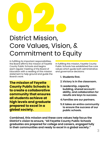# **02. 1999**<br>District Mission,<br>Coro Values Vision

### District Mission, Core Values, Vision, & Commitment to Equity

In fulfilling its important responsibilities, the Board affirms the mission of Fayette County Public Schools and begins each regular meeting of the Board of Education with a reading of this mission statement to help ground and guide the Board's work:

**The mission of Fayette County Public Schools is to create a collaborative community that ensures all students achieve at high levels and graduate prepared to excel in a global society.**

In fulfilling this mission, Fayette County Public Schools has established five core values which guide both administrative and governance decisions:

- **1. Students first.**
- **2.Victory is in the classroom.**
- **3.Leadership, capacity building, shared accountability, and collaboration for results are keys to success.**
- **4.Families are our partners.**
- **5.It takes an entire community to ensure the success of our public schools.**

**Combined, this mission and these core values help focus the District's vision to ensure, "All Fayette County Public Schools graduates are prepared for college and careers, engaged fully in their communities and ready to excel in a global society."**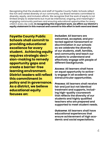Recognizing that the students and staff of Fayette County Public Schools reflect the rich and varied diversity of our community, our Board remains committed to diversity, equity, and inclusion efforts. We recognize that the work of equity is not limited simply to statements but must be intentional, ongoing, and meaningful engaging community partners and ensuring educational opportunities for every child in every Zip code. **In recognizing this important work, we affirm our District's equity statement in this manual and commit to this effort in both word and deed:**

**Fayette County Public Schools shall commit to providing educational excellence for every student. Achieving equity requires strategic decision-making to remedy opportunity gaps and create a barrier-free learning environment. District leaders will reflect this commitment in policy and in governance. As a district, we believe educational equity focuses on:**

*Inclusion:* **All learners are welcomed, accepted, and protected against harassment or discrimination in our schools as we celebrate the diversity of our students, staff, families, and community and teach our students to understand and effectively engage with people of different backgrounds.**

*Access:* **All learners shall have an equal opportunity to actively engage in all academic and extracurricular opportunities.**

*Process:* **All learners shall receive fair and just but not identical treatment and supports, including high-quality coursework that reflects the diversity of our students and highly qualified teachers who are prepared and supported to meet student needs.**

*Outcome:* **All learners shall have educational experiences that ensure achievement of high academic and social expectations.**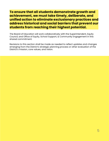#### **To ensure that all students demonstrate growth and achievement, we must take timely, deliberate, and unified action to eliminate exclusionary practices and address historical and social barriers that prevent our students from reaching their highest potential.**

The Board of Education will work collaboratively with the Superintendent, Equity Council, and Office of Equity, School Support, & Community Engagement in this shared commitment.

Revisions to this section shall be made as needed to reflect updates and changes emerging from the District's strategic planning process or other evaluation of the District's mission, core values, and vision.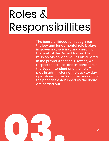## Roles & Responsibillites

The Board of Education recognizes the key and fundamental role it plays in governing, guiding, and directing the work of the District toward the mission, vision, and values articulated in the previous section. Likewise, we respect the critical and important role the Superintendent and their staff play in administering the day-to-day operations of the District, ensuring that the priorities established by the Board are carried out.

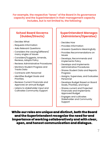**For example, the respective "lanes" of the Board in its governance capacity and the Superintendent in their management capacity includes, but is not limited to, the following:**

#### **School Board Governs (Guides/Directs)**

- » Decides What
- » Requests Information
- » Asks Relevant Questions
- » Considers the varying/different/ many angles of Issues
- » Considers/Suggests, Amends, Reviews, Adopts Policy
- » Reviews Administrative Procedures
- » Monitors Student Progress and Tracks Data
- » Contracts with Personnel
- » Identifies Budget Goals and Priorities.
- » Reviews Current Financials and Approves an annual Budget
- » Listens to stakeholder input and Cultivates Community Support

#### **Superintendent Manages (Administers/Operates)**

- » Decides How
- » Provides Information
- » Answers Questions Meaningfully
- » Provides Recommendations on Issues
- » Develops, Recommends and Implements Policy
- » Develops and Implements Administrative Procedures
- » Shares Student Data and Reports Progress
- » Assigns, Supervises, and Evaluates Personnel
- » Develops Budget Based on Board Goals, Priorities, and Input
- » Shares current and Projected Financials and Implements Approved Budget
- » Engages and cultivates Stakeholder and Community Support

While our roles are unique and distinct, both the Board and the Superintendent recognize the need for and importance of working collaboratively and with clear, open, and honest communication and dialogue.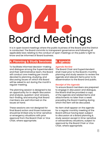## 04. Board Meetings

It is in open board meetings where the public business of the Board and the District is conducted. The Board commits to transparent governance and following all applicable laws relating to the conduct of open meetings on the public's right to know and be informed of Board business.

#### **A. Planning & Study Sessions**

To facilitate informed decision-making and dialogue among the Superintendent and their administrative team, the Board will conduct one meeting per month devoted to planning, studying, and discussing issues on which the Board will be asked to act during the month's regular meeting.

The planning session is designed to be an opportunity for in-depth discussion and analysis, question-and-answers, fact-finding, and ensuring that Board members are well informed on the issues at hand.

These sessions are not designed for final Board action and those instances should be limited only to time-sensitive or emergency situations with prior approval from the Board Chair or Vice Chair, where appropriate.

#### **B. Agenda**

#### *Agenda Review*

The Board Chair and Superintendent shall meet prior to the Board's monthly planning and study session to review the agenda and relevant items prior to its dissemination to the Board and public.

#### *Receipt of the Agenda*

To ensure Board members are prepared to engage in discussion and dialogue, the Board shall be provided a copy of the agenda and related items and attachments no later than a week preceding the Board meeting during which the item will be discussed.

No item shall appear on the agenda for a regular monthly meeting of the Board without having been subject to discussion at a Board planning & study session except in time-sensitive or extraordinary situations, subject to approval by the Board Chair or Vice Chair, where appropriate.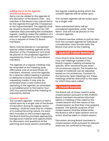#### *Adding Items to the Agenda and Board Requests*

Items can be added to the agenda at the discretion of the Board Chair. Any member of the Board may submit items for the agenda through the Chairperson or the Superintendent. The agenda shall be closed to Board members ten (10) calendar days preceding the scheduled regular, meeting unless the addition of a late item is approved by the Chairperson or by a request of three (3) Board members.

Items may be placed on a proposed special called meeting agenda at the direction of the Chairperson and shall be placed on the proposed agenda if requested by three (3) or more Board members.

The agenda of a regular meeting may be amended at the meeting upon affirmative vote of at least three (3) members. However, once the agenda for a special called meeting is posted or delivered to Board members and requesting media, it may only be amended when a new notice and reposting of the agenda, as amended, is completed prior to the twenty-four (24) hour period before the meeting as required by statute.

#### *Consent Agenda*

The consent agenda--a block of items acted upon by a single vote of the Board of Education during its regular action meeting--shall be used only for matters of a routine/recurring nature. For each item included on the consent agenda, the Board shall be provided appropriate background material and opportunities for discussion and questions at the planning and study session preceding

the regular meeting during which the consent agenda will be acted upon.

The consent agenda will be acted upon by a single vote.

More substantive items will be considered separately under "Action Items" and will not be placed on the consent agenda.

If a Board member wishes to pull an item from the consent agenda for individual consideration, they should notify the Board chair prior to the meeting.

#### **C. Special Called Meetings**

From time to time, the Board Chair may call meetings outside of the Board's regular meeting schedule for specific, time-sensitive issues when circumstances require. The timeline for receipt of materials can be adjusted based on circumstances. Pursuant to the Kentucky Open Meetings Act, these meetings shall be restricted to the topic for which they were called.

#### **D. Closed Session**

The Board will, at times, need to enter closed session pursuant to KRS 61.810(1). Board members should be informed before a meeting of the need for the closed session and the nature of the closed session so that they may properly prepare. The specific purpose of the closed session shall be stated while the Board is still in open session and no action shall be taken in closed session.

Discussion among Board members in closed session shall, pursuant to relevant state law, be confined to the topic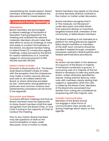necessitating the closed session. Board members shall keep in confidence the discussions held in closed session.

#### **E. Conduct During Meetings**

#### *Attendance*

Board members are encouraged to attend meetings of the Board of Education having prepared for the meeting and reviewed the relevant materials. Members should make their best effort to arrive at meetings on time and ready to conduct the business of the District. Any Board member failing to attend three (3) consecutive regular meetings, unless excused by the Board for reason satisfactory to it, could be subject to removal pursuant to KRS 415.050 and KRS 415.060.

#### *Robert's Rules of Order*

Pursuant to Board policy 01.4, "The Board shall observe Robert's Rules of Order, with the exception that the chairperson may make a motion, second, discuss, and vote on all matters before the Board, or where otherwise provided by law." Information and guidelines on particular and common motions and parliamentary procedure can be found in the Appendix.

#### *Discussion and Debate*

To ensure efficient meetings and that all Board members have the opportunity to share, Board members shall first seek recognition from the Board Chair, or Vice Chair if acting in the capacity of Chair to conduct the meeting.

Prior to any motion, Board members may ask questions of staff on the recommendation or topic under discussion. Once a motion is made,

Board members may speak on the issue at hand. Remarks shall be confined to the motion or matter under discussion.

Board members recognize that it is "the measure, not the person" under discussion and shall refrain from personal attacks or invectives targeted toward staff, members of the community, or fellow Board members.

The Board meeting is not intended as a platform for airing grievances against fellow Board members or members of the staff. Such concerns should be handled if needed through complaint processes outlined in Board policies and related administrative procedures.

#### *Voting*

No action can be taken in the absence of a quorum of the Board. A majority of the Board constitutes a quorum. A concurring vote of a majority of the full Board is necessary to take any particular action, unless otherwise specified by statute. Voting shall be done by voice vote, with members clearly stating their support or opposition when the vote is called by the Board Chair. Members of the Board who are present but abstain from voting are considered as acquiescing with the majority vote.

#### *Outside Communication*

Members of the Board should not engage in other forms of communication (text, emails, etc.) during meetings about topics on the agenda.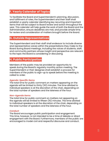#### **F. Yearly Calendar of Topics**

To facilitate the Board and Superintendent's planning, discussion, and fulfillment of roles, the Superintendent and their staff shall establish a yearly calendar identifying key recurring and important items that will be subject to Board review and action throughout the year. This calendar will help guide the work of both the Board and the Administration, ensure deadlines are met, and provide ample time for review and consideration of matters brought before the Board.

#### **G. Outside Representatives**

The Superintendent and their staff shall endeavor to include diverse and representative voices within the presentations they make to the Board during Board meetings, including the voices of students, staff, and community partners whose insight and perspective are relevant to the topic the Board is considering or discussing.

#### **H. Public Participation**

Members of the public may be provided an opportunity to speak during the Board's regularly monthly action meeting. The Superintendent or their designee shall establish a process for members of the public to sign-up to speak before the meeting is called to order.

#### *Agenda-Specific Items*

The total time for public comment on matters appearing on the agenda will be limited to thirty (30) minutes. The time allotted to individual speakers is at the discretion of the chair, depending on the total number of speakers and the lateness of the hour.

#### *Non-Agenda Items*

The total time for public comment on matters not appearing on the agenda will be limited to fifteen (15) minutes. The time allotted to individual speakers is at the discretion of the chair, depending on the total number of speakers and the lateness of the hour.

#### *Conduct*

The Board encourages public participation and engagement. This time, however, is not intended to be a time of debate or direct engagement with the Board. Furthermore, members of the public are encouraged to model civil and respectful discourse and conduct.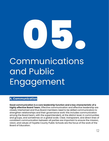

## Communications and Public Engagement

#### **A. Communication**

**Good communication is a core leadership function and a key characteristic of a highly effective Board Team.** Effective communication and effective leadership are closely intertwined and thus Board members need to be skilled communicators to strengthen relationships and their governance work: this includes communication among the Board team, with the superintendent, at the district level, in communities and groups, and sometimes on a global scale. Clear, transparent, and direct lines of consistent communication between all parties are important to ensure the mission, vision, and values of Fayette County Public Schools are the focus of the work of the Board of Education.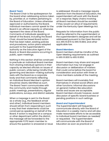#### *Board Team*

The Board Chair is the spokesperson for the board when addressing actions taken by, priorities of, or matters pertaining to the Board of Education. Unless otherwise approved or authorized by the Board, individual members cannot speak for the Board in an official capacity or otherwise represent the views of the Board. Comments of individuals speaking on behalf of the Board, including the Board Chair, should be based Board action that has been taken, existing policies and procedures, action plans adopted pursuant to the Superintendent's authority as the Executive Agent of the Board, or Board discussions occurring in public, open meetings.

Nothing in this section shall be construed to preclude an individual Board member from sharing individual opinions in their capacity as elected officials on issues of public concern, while being mindful that governing and decision-making authority rests with the Board as a corporate body and that comments reflecting an individual Board Member's opinion should be clearly identified as such. The Board Team communicates with the community and media through public meetings, presentations, regular publications, surveys, and district website.

When a message is sent to the Board as a whole (e.g., the feedback email and other), individual board members should refrain from responding in such a way that their statements could be construed as speaking on behalf of the Board. If action is required at a campus or other department within the district, the message will be forwarded to the appropriate FCPS team member to ensure the question is answered or issue is addressed. Should a message require attention from the Board of Education, the superintendent will work with the Board on a response. Reply chains involving all Board members should be avoided if they would run afoul of requirements under the Kentucky Open Meetings Act.

Requests for information from the public shall be referred to the superintendent or the superintendent's designee and will be addressed pursuant to the Open Records Act, KRS 61.870 to KRS 61.884, and other applicable law.

#### *Board Members*

Board members shall be mindful of the Open Meeting requirements as outlined in KRS 61.800 to KRS 61.850.

Board members may share and request information but may not engage in discussion or deliberation of matters that could come before the board for consideration and action with three or more members outside of the meeting.

Board members will invariably find themselves in shared social affairs and other functions. Informal discussions on general matters like education trends and issues are acceptable. Board members should, however, avoid discussion of specific board business or pending positions in such settings.

#### *Board and Superintendent*

The Superintendent will frequently communicate directly with the Board of Education in a weekly memo and will also make reasonable efforts to be accessible to individual board members as needed/ or requested. The Superintendent will communicate with the Board of Education as soon as practical on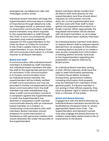emergencies via telephone calls, text messages, and/or email.

Individual board members will keep the Superintendent informed about matters of importance through telephone calls, text messages, email, or personal visits. To streamline communication, individual board members may direct inquiries to the superintendent or staff through the Chair. In such circumstances, Board members may submit questions/ requests for the superintendent to the Chair by Noon on Friday for inclusion in the Chair's weekly memo to the superintendent. In turn, the Board Chair will communicate information in a timely manner to all Board members.

#### *Board and Staff*

If communication with individual board members is initiated by staff members, the individual board members will refer the staff to the appropriate person/chain of command. If the communication is to involve communication from an individual board member, the superintendent will be initially notified of staff communications, but may be excluded in further correspondence after direct communication from the staff member has been established (e.g., when a staff communication concerns a complaint against the Superintendent, or when the Superintendent has directed or requested a staff member communicate directly with an individual board member on a matter). In conducting communications with staff members, Board members should endeavor to avoid intervention or interference with personnel matters that would otherwise fall under the purview of the Superintendent.

Board members will be mindful that all district staff work directly for the superintendent, and thus should direct requests for information, records, data, etc. to the Superintendent who will then work with their staff to best gather the requested information in a timely manner. When appropriate, the requested information will be shared with all board members, so as to keep the entire Board team dutifully informed.

No individual Board member shall direct or require district staff to prepare reports derived from an analysis of information in existing district records or to create a new record compiled from information in existing district records. Directives to the Superintendent regarding the preparation of reports shall be by Board action.

An individual Board member, acting in their official capacity, shall have the right to seek information pertaining to District fiscal affairs, business transactions, governance matters, including information that properly may be withheld from members of the general public. If a Board member is not acting in their official capacity, they have no greater right to District records than a member of the public.

#### *Board and Board Attorney*

Engagement with the Board Attorney by individual Board members should first be facilitated by the Board Chair or, where appropriate, Board Vice Chair. The Superintendent and General Counsel may also engage the Board Attorney on matters reasonably determined to be of importance to the Board.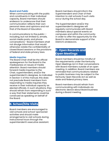#### *Board and Public*

When communicating with the public and constituents in their individual capacity, Board members should endeavor to underscore that their communication reflects their own personal views and opinions and not that of the Board of Education.

In communications to the public- including, but not limited to, emails, social media posts, and phone conversations--Board members shall not divulge information that would otherwise violate the confidentiality of closed Board sessions or the provisions of federal and state privacy laws.

#### *Media Inquiries*

The Board Chair shall be the official spokesperson for the Board to the media/press on issues of media attention. Board members should forward media inquiries to the Chair, superintendent, and/or the superintendent's designee. As indicated in Section V of this manual, this does not preclude Board members from responding to media inquiries they receive in their individual capacity as elected officials. In such situations, they should refrain from responding in such a way that their statements could be construed as speaking on behalf of the Board.

#### **B. School/Site Visits**

Board members are encouraged to visit schools and school-sponsored activities and should make arrangements to visit schools during instructional hours through the superintendent's executive assistant. Board members should inform the Superintendent and Chair of their intention to visit schools if such visits occur during the school day.

The Superintendent and/or the superintendent's designee will regularly communicate with Board members about special events on campuses and within the community in order to offer the opportunity for the Board to demonstrate support of the District's endeavors.

#### **C. Open Records and Open Meetings**

Board members should be mindful of the requirements under the Kentucky Open Meetings Act in their conversations with Board members outside of an open meeting. In addition, Board members are reminded that communications related to public business may be subject to the Kentucky Open Records Act as well as state and federal privacy laws.

Board members should refrain from communicating with individuals via electronic device about Board business during a Board meeting.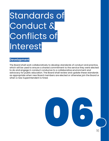## Standards of Conduct & Conflicts of Interest

#### **Development**

The Board shall work collaboratively to develop standards of conduct and practice, which will be used to ensure a shared commitment to the service they were elected to do and engage in conduct conducive to a collaborative environment and advocacy for public education. The Board shall review and update these standards as appropriate when new Board members are elected or otherwise join the Board or when a new Superintendent is hired.

06.

16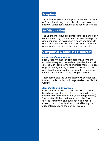#### **Adoption**

The standards shall be adopted by vote of the Board of Education during a publicly held meeting of the Board of Education upon initial adoption or revision.

#### **Self-Evaluation**

The Board shall develop a process for bi-annual selfevaluation in alignment with Board-identified goals and priorities. The evaluation process shall include both self-evaluation for individual board members and group evaluation of the board as a whole.

#### **Complaints & Conflicts of Interest**

#### *Reporting of Associations*

Each Board member shall report annually to the Board attorney, on a form developed by the Board attorney, any employment, financial interests, claims, appointments, offices, familial relationships, and activities that reasonably may create a conflict of interest under Board policy or applicable law.

These forms and the Board attorney's certification that no conflicts exist shall be posted on the District website.

#### *Complaints and Grievances*

Complaints from Board members about a fellow Board member shall be referred in writing to the Board Chair (or the Vice Chair, where appropriate). The matter will then be forwarded to the Board attorney for review and evaluation. The Board Chair (or, if applicable, Vice Chair) will notify the superintendent and the parties involved.<br>Chair (or, if applicable, Vice Chair) will no<br>superintendent and the parties involved.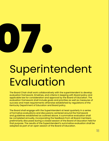

## Superintendent Evaluation

The Board Chair shall work collaboratively with the superintendent to develop evaluation framework, timelines, and criteria in keeping with Board policy and applicable law for consideration and approval by the Board of Education. The evaluation framework shall include goals and priorities as well as measures of success and meet requirements otherwise established by regulations of the Kentucky Department of Education and Board policy.

The Board shall engage with the Superintendent at least quarterly in a series of formative evaluations and discussions centered around the framework and guidelines established as outlined above. A summative evaluation shall be completed annually, incorporating the feedback from all Board members preliminarily discussed during a closed session of the Board of Education held for that purpose. The results of the Superintendent's summative evaluation shall be adopted as part of an open session of the Board of Education.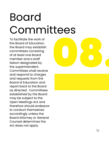## Board Committees

To facilitate the work of the Board of Education, the Board may establish committees consisting of at least one Board member and a staff liaison designated by the superintendent. Committees shall receive and respond to charges and requests from the Board of Education and report back to the Board as directed. Committees established by the Board may be subject to the Open Meetings Act and therefore should endeavor to conduct themselves accordingly unless the Board Attorney or General Counsel determines the Act does not apply.

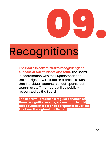

## Recognitions

**The Board is committed to recognizing the success of our students and staff.** The Board, in coordination with the Superintendent or their designee, will establish a process such that individual students, school-sponsored teams, or staff members will be publicly recognized by the Board.

**The Board will establish a regular schedule of these recognition events, endeavoring to hold these events at least once per quarter at various locations throughout the District.**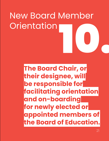## New Board Member<br>Orientation<br>December 2002 New Board Member Orientation

**The Board Chair, or their designee, will be responsible for facilitating orientation and on-boarding for newly elected or appointed members of the Board of Education.**